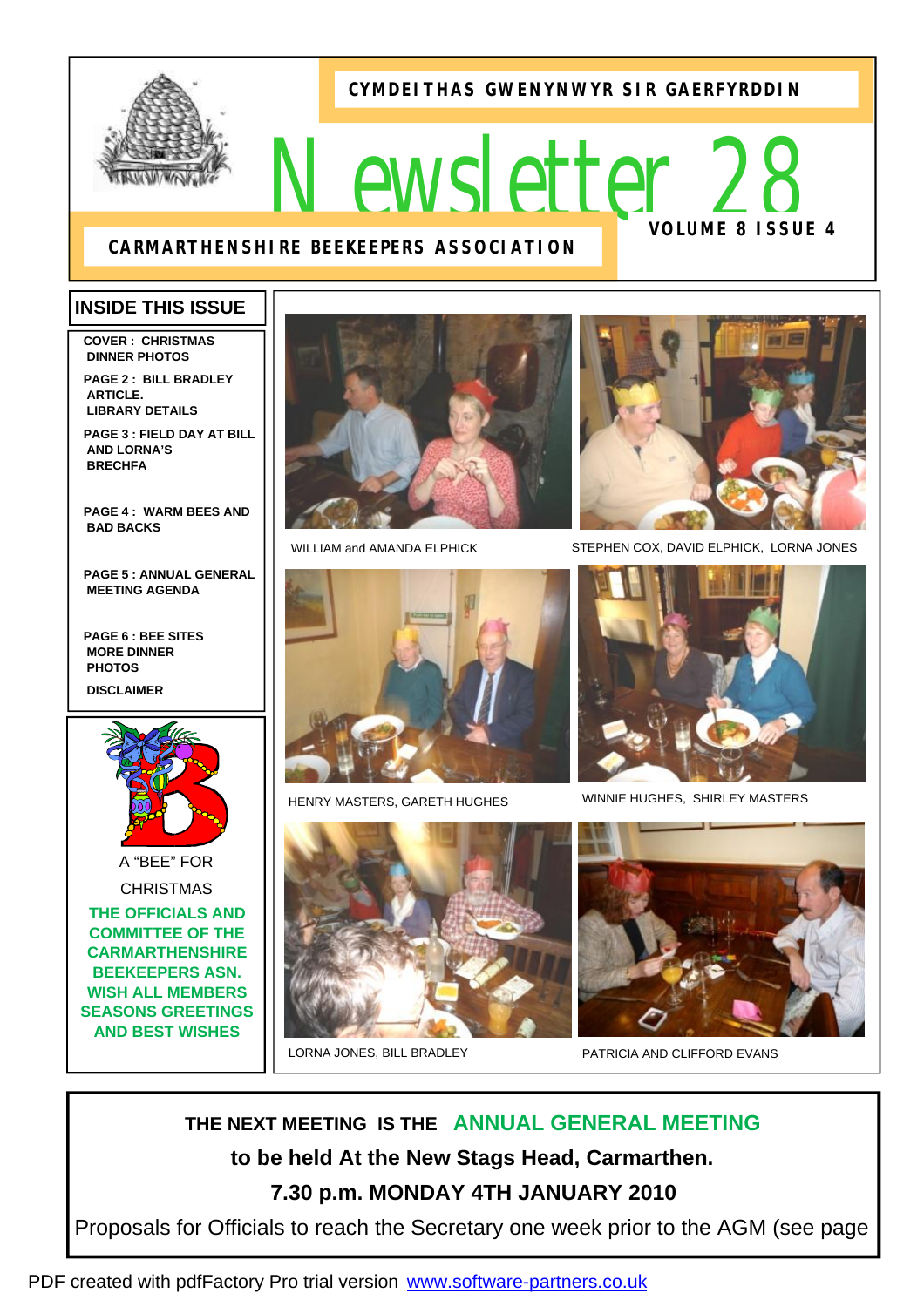**CYMDEITHAS GWENYNWYR SIR GAERFYRDDIN**

# *Newsletter 28*  **VOLUME 8 ISSUE 4**

# **CARMARTHENSHIRE BEEKEEPERS ASSOCIATION**

# **INSIDE THIS ISSUE**

**COVER : CHRISTMAS DINNER PHOTOS** 

**PAGE 2 : BILL BRADLEY ARTICLE. LIBRARY DETAILS** 

**PAGE 3 : FIELD DAY AT BILL AND LORNA'S BRECHFA**

**PAGE 4 : WARM BEES AND BAD BACKS** 

**PAGE 5 : ANNUAL GENERAL MEETING AGENDA** 

**PAGE 6 : BEE SITES MORE DINNER PHOTOS DISCLAIMER** 



A "BEE" FOR

**CHRISTMAS** 

**THE OFFICIALS AND COMMITTEE OF THE CARMARTHENSHIRE BEEKEEPERS ASN. WISH ALL MEMBERS SEASONS GREETINGS AND BEST WISHES** 





HENRY MASTERS, GARETH HUGHES





WILLIAM and AMANDA ELPHICK STEPHEN COX, DAVID ELPHICK, LORNA JONES



WINNIE HUGHES, SHIRLEY MASTERS



LORNA JONES, BILL BRADLEY PATRICIA AND CLIFFORD EVANS

**THE NEXT MEETING IS THE ANNUAL GENERAL MEETING to be held At the New Stags Head, Carmarthen. 7.30 p.m. MONDAY 4TH JANUARY 2010** 

Proposals for Officials to reach the Secretary one week prior to the AGM (see page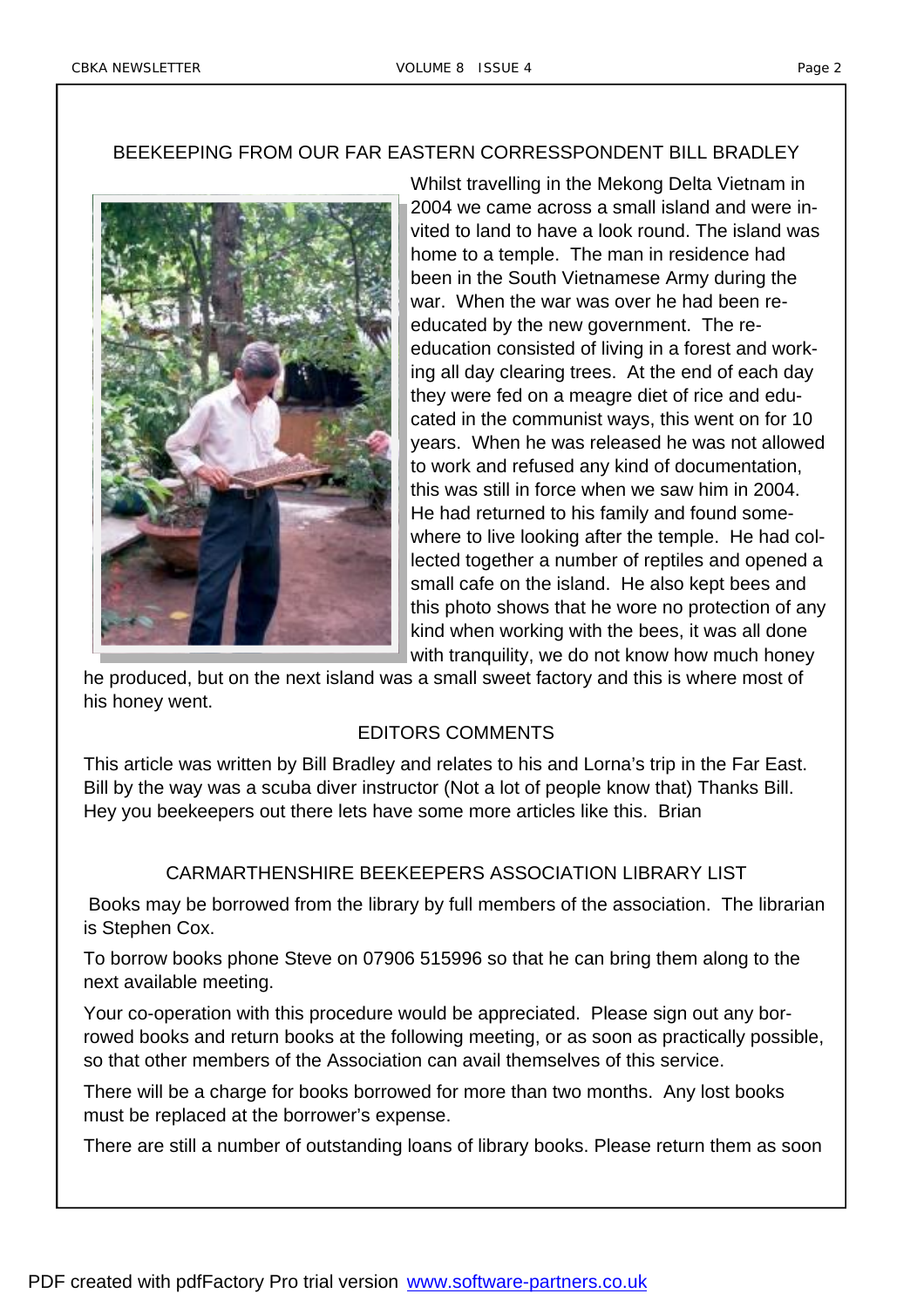## BEEKEEPING FROM OUR FAR EASTERN CORRESSPONDENT BILL BRADLEY



Whilst travelling in the Mekong Delta Vietnam in 2004 we came across a small island and were invited to land to have a look round. The island was home to a temple. The man in residence had been in the South Vietnamese Army during the war. When the war was over he had been reeducated by the new government. The reeducation consisted of living in a forest and working all day clearing trees. At the end of each day they were fed on a meagre diet of rice and educated in the communist ways, this went on for 10 years. When he was released he was not allowed to work and refused any kind of documentation, this was still in force when we saw him in 2004. He had returned to his family and found somewhere to live looking after the temple. He had collected together a number of reptiles and opened a small cafe on the island. He also kept bees and this photo shows that he wore no protection of any kind when working with the bees, it was all done with tranquility, we do not know how much honey

he produced, but on the next island was a small sweet factory and this is where most of his honey went.

# EDITORS COMMENTS

This article was written by Bill Bradley and relates to his and Lorna's trip in the Far East. Bill by the way was a scuba diver instructor (Not a lot of people know that) Thanks Bill. Hey you beekeepers out there lets have some more articles like this. Brian

# CARMARTHENSHIRE BEEKEEPERS ASSOCIATION LIBRARY LIST

 Books may be borrowed from the library by full members of the association. The librarian is Stephen Cox.

To borrow books phone Steve on 07906 515996 so that he can bring them along to the next available meeting.

Your co-operation with this procedure would be appreciated. Please sign out any borrowed books and return books at the following meeting, or as soon as practically possible, so that other members of the Association can avail themselves of this service.

There will be a charge for books borrowed for more than two months. Any lost books must be replaced at the borrower's expense.

There are still a number of outstanding loans of library books. Please return them as soon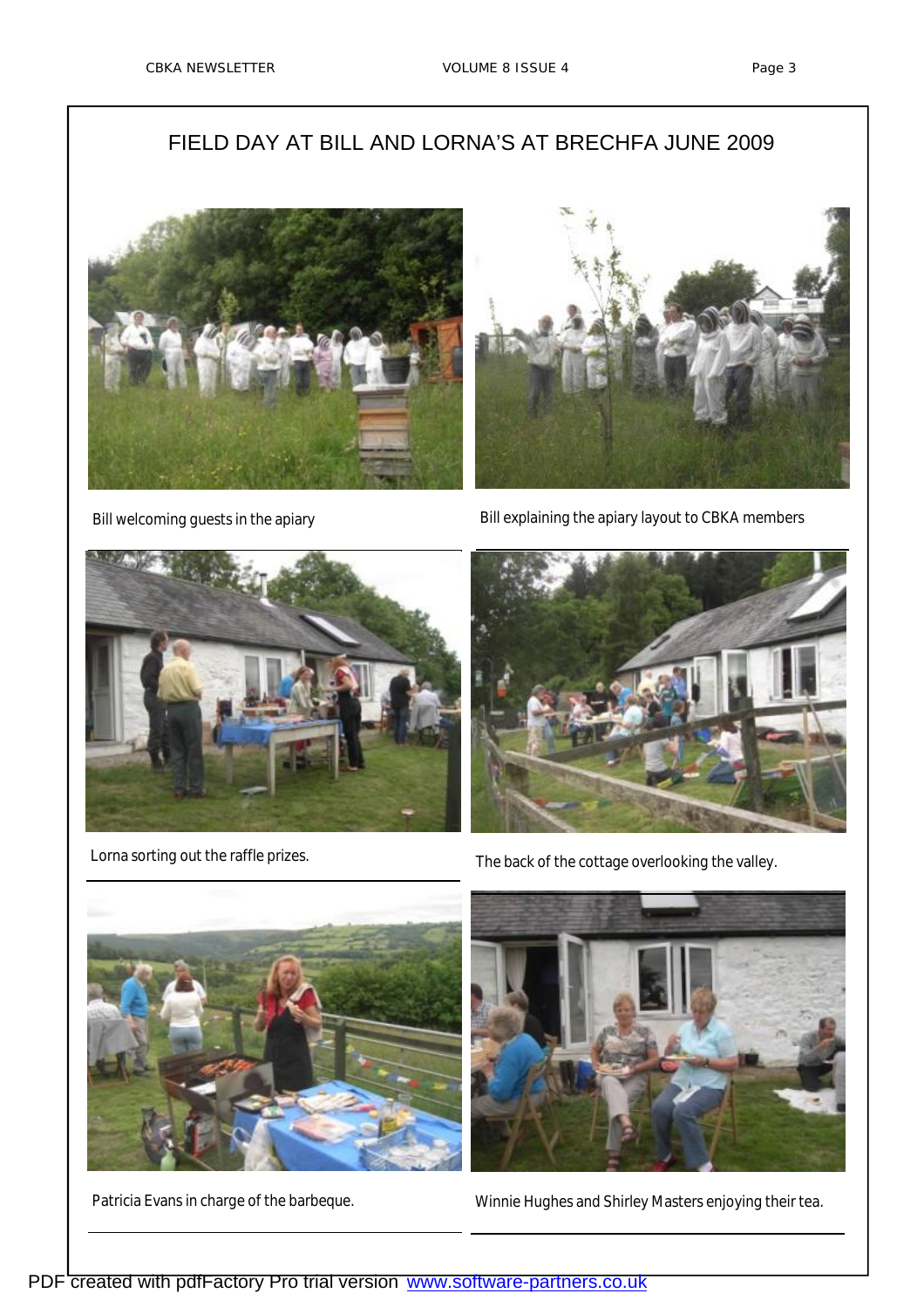# FIELD DAY AT BILL AND LORNA'S AT BRECHFA JUNE 2009





Bill welcoming guests in the apiary **Bill explaining the apiary layout to CBKA** members





Lorna sorting out the raffle prizes.<br>
The back of the cottage overlooking the valley.





Patricia Evans in charge of the barbeque. Winnie Hughes and Shirley Masters enjoying their tea.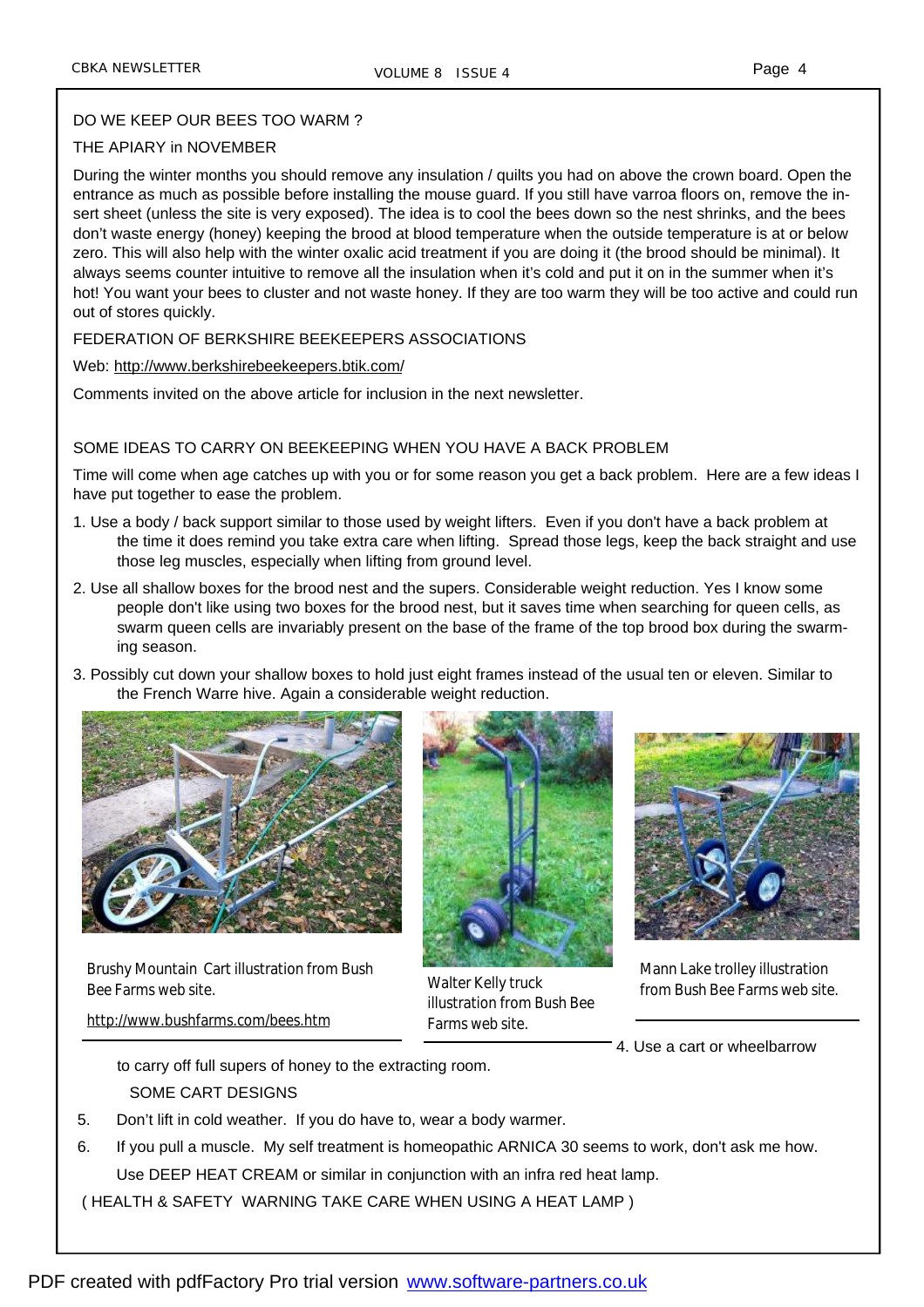#### DO WE KEEP OUR BEES TOO WARM ?

#### THE APIARY in NOVEMBER

During the winter months you should remove any insulation / quilts you had on above the crown board. Open the entrance as much as possible before installing the mouse guard. If you still have varroa floors on, remove the insert sheet (unless the site is very exposed). The idea is to cool the bees down so the nest shrinks, and the bees don't waste energy (honey) keeping the brood at blood temperature when the outside temperature is at or below zero. This will also help with the winter oxalic acid treatment if you are doing it (the brood should be minimal). It always seems counter intuitive to remove all the insulation when it's cold and put it on in the summer when it's hot! You want your bees to cluster and not waste honey. If they are too warm they will be too active and could run out of stores quickly.

FEDERATION OF BERKSHIRE BEEKEEPERS ASSOCIATIONS

Web:<http://www.berkshirebeekeepers.btik.com/>

Comments invited on the above article for inclusion in the next newsletter.

#### SOME IDEAS TO CARRY ON BEEKEEPING WHEN YOU HAVE A BACK PROBLEM

Time will come when age catches up with you or for some reason you get a back problem. Here are a few ideas I have put together to ease the problem.

- 1. Use a body / back support similar to those used by weight lifters. Even if you don't have a back problem at the time it does remind you take extra care when lifting. Spread those legs, keep the back straight and use those leg muscles, especially when lifting from ground level.
- 2. Use all shallow boxes for the brood nest and the supers. Considerable weight reduction. Yes I know some people don't like using two boxes for the brood nest, but it saves time when searching for queen cells, as swarm queen cells are invariably present on the base of the frame of the top brood box during the swarming season.
- 3. Possibly cut down your shallow boxes to hold just eight frames instead of the usual ten or eleven. Similar to the French Warre hive. Again a considerable weight reduction.



Brushy Mountain Cart illustration from Bush Bee Farms web site.

<http://www.bushfarms.com/bees.htm>



Walter Kelly truck illustration from Bush Bee Farms web site.



Mann Lake trolley illustration from Bush Bee Farms web site.

4. Use a cart or wheelbarrow

to carry off full supers of honey to the extracting room. SOME CART DESIGNS

- 5. Don't lift in cold weather. If you do have to, wear a body warmer.
- 6. If you pull a muscle. My self treatment is homeopathic ARNICA 30 seems to work, don't ask me how. Use DEEP HEAT CREAM or similar in conjunction with an infra red heat lamp.

( HEALTH & SAFETY WARNING TAKE CARE WHEN USING A HEAT LAMP )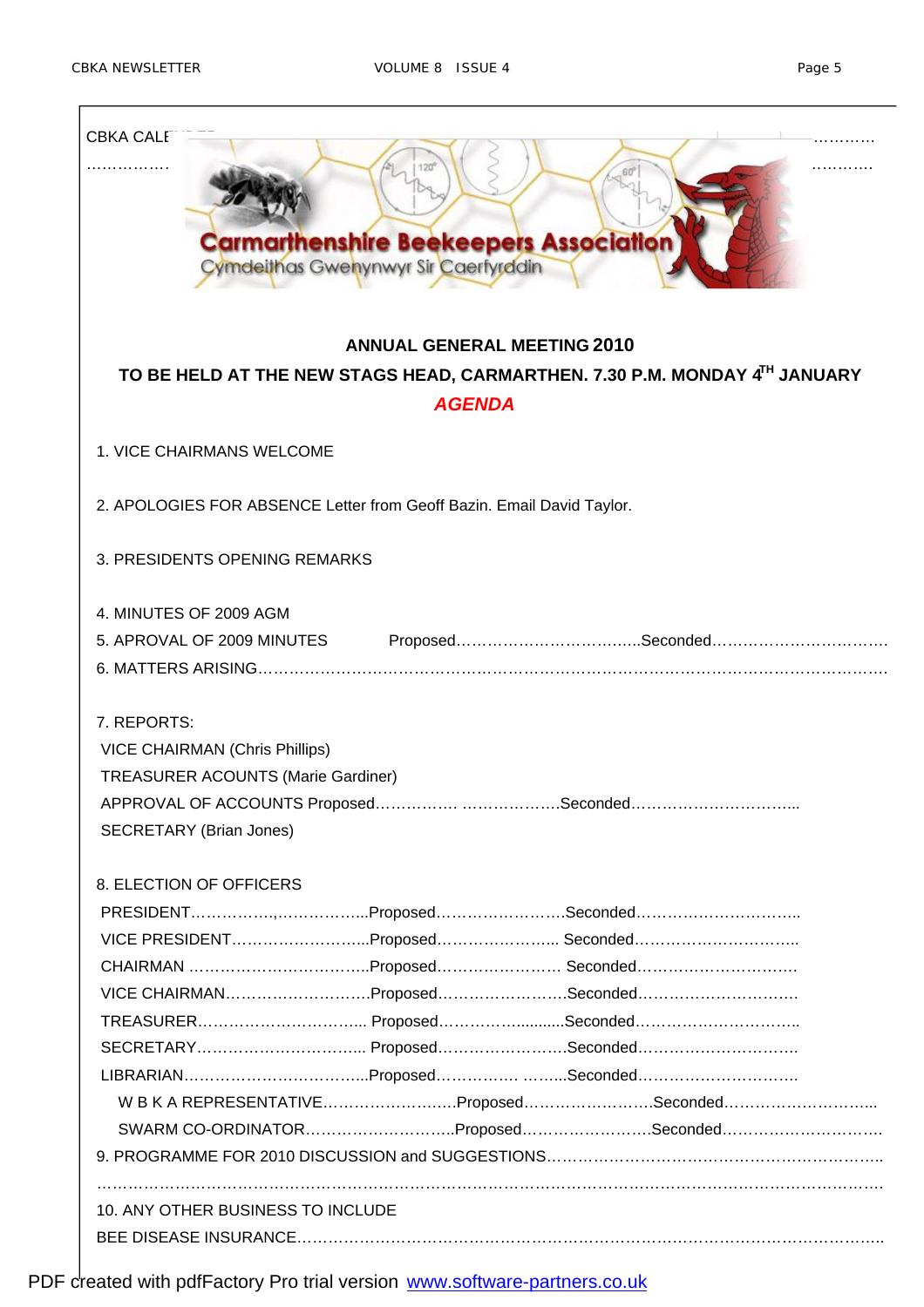| <b>CBKA CALF</b><br><b>Carmarthenshire Beekeepers Association</b><br>Cymdeithas Gwenynwyr Sir Caerfyrddin                                                                    |  |  |  |  |  |  |
|------------------------------------------------------------------------------------------------------------------------------------------------------------------------------|--|--|--|--|--|--|
| <b>ANNUAL GENERAL MEETING 2010</b>                                                                                                                                           |  |  |  |  |  |  |
| TO BE HELD AT THE NEW STAGS HEAD, CARMARTHEN. 7.30 P.M. MONDAY 4TH JANUARY<br><b>AGENDA</b>                                                                                  |  |  |  |  |  |  |
|                                                                                                                                                                              |  |  |  |  |  |  |
| <b>1. VICE CHAIRMANS WELCOME</b>                                                                                                                                             |  |  |  |  |  |  |
|                                                                                                                                                                              |  |  |  |  |  |  |
| 2. APOLOGIES FOR ABSENCE Letter from Geoff Bazin. Email David Taylor.                                                                                                        |  |  |  |  |  |  |
|                                                                                                                                                                              |  |  |  |  |  |  |
| 3. PRESIDENTS OPENING REMARKS                                                                                                                                                |  |  |  |  |  |  |
| 4. MINUTES OF 2009 AGM                                                                                                                                                       |  |  |  |  |  |  |
| 5. APROVAL OF 2009 MINUTES ProposedSeconded                                                                                                                                  |  |  |  |  |  |  |
|                                                                                                                                                                              |  |  |  |  |  |  |
| 7. REPORTS:<br><b>VICE CHAIRMAN (Chris Phillips)</b><br><b>TREASURER ACOUNTS (Marie Gardiner)</b><br>APPROVAL OF ACCOUNTS ProposedSeconded<br><b>SECRETARY (Brian Jones)</b> |  |  |  |  |  |  |
| 8. ELECTION OF OFFICERS                                                                                                                                                      |  |  |  |  |  |  |
|                                                                                                                                                                              |  |  |  |  |  |  |
| VICE PRESIDENTProposed Seconded                                                                                                                                              |  |  |  |  |  |  |
| CHAIRMAN Proposed Seconded                                                                                                                                                   |  |  |  |  |  |  |
| VICE CHAIRMANProposedSeconded                                                                                                                                                |  |  |  |  |  |  |
|                                                                                                                                                                              |  |  |  |  |  |  |
|                                                                                                                                                                              |  |  |  |  |  |  |
|                                                                                                                                                                              |  |  |  |  |  |  |
| WBKAREPRESENTATIVEProposedSeconded                                                                                                                                           |  |  |  |  |  |  |
| SWARM CO-ORDINATORProposedSeconded                                                                                                                                           |  |  |  |  |  |  |
|                                                                                                                                                                              |  |  |  |  |  |  |
|                                                                                                                                                                              |  |  |  |  |  |  |
| 10. ANY OTHER BUSINESS TO INCLUDE                                                                                                                                            |  |  |  |  |  |  |
|                                                                                                                                                                              |  |  |  |  |  |  |

PDF created with pdfFactory Pro trial version [www.software-partners.co.uk](http://www.software-partners.co.uk)